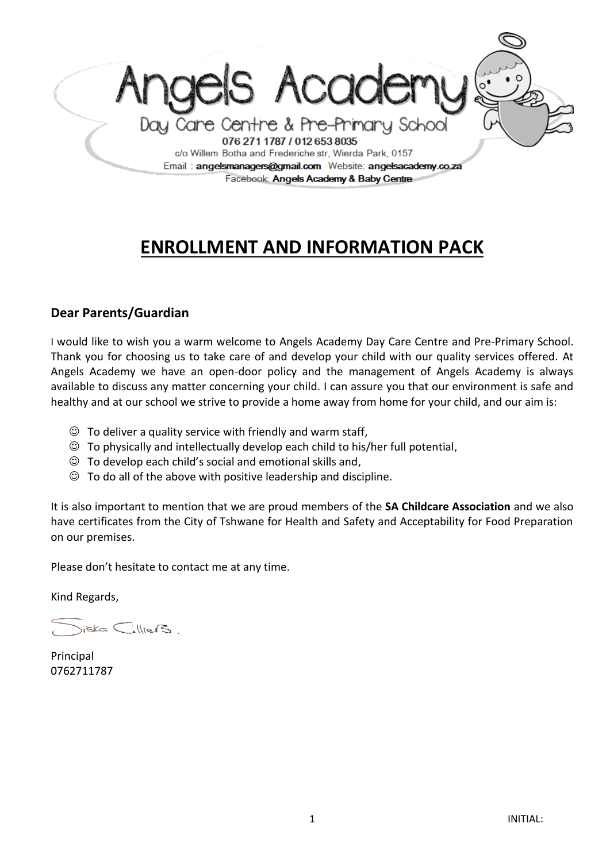

# **ENROLLMENT AND INFORMATION PACK**

## **Dear Parents/Guardian**

I would like to wish you a warm welcome to Angels Academy Day Care Centre and Pre-Primary School. Thank you for choosing us to take care of and develop your child with our quality services offered. At Angels Academy we have an open-door policy and the management of Angels Academy is always available to discuss any matter concerning your child. I can assure you that our environment is safe and healthy and at our school we strive to provide a home away from home for your child, and our aim is:

- $\odot$  To deliver a quality service with friendly and warm staff,
- $\odot$  To physically and intellectually develop each child to his/her full potential,
- $\odot$  To develop each child's social and emotional skills and,
- $\odot$  To do all of the above with positive leadership and discipline.

It is also important to mention that we are proud members of the **SA Childcare Association** and we also have certificates from the City of Tshwane for Health and Safety and Acceptability for Food Preparation on our premises.

Please don't hesitate to contact me at any time.

Kind Regards,

 $size$   $\sub$ illiers

Principal 0762711787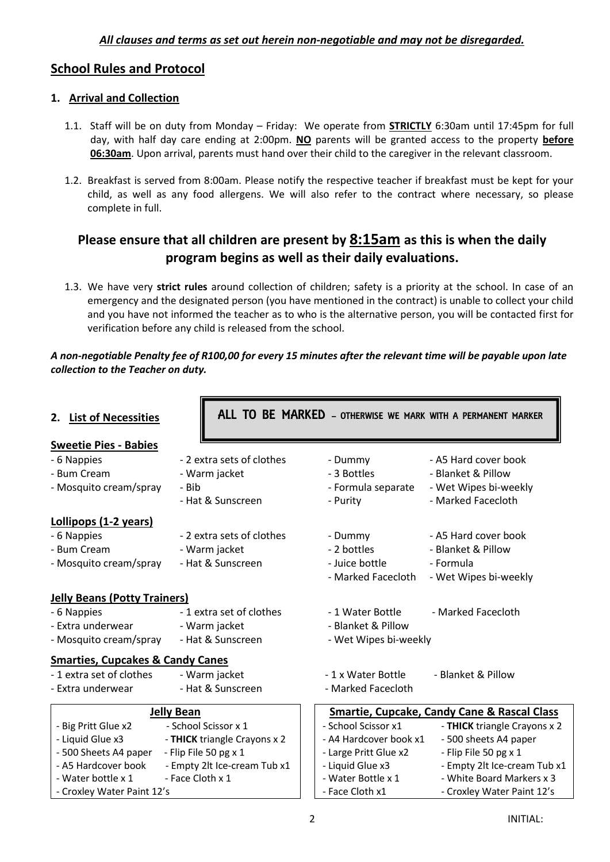## **School Rules and Protocol**

## **1. Arrival and Collection**

- 1.1. Staff will be on duty from Monday Friday: We operate from **STRICTLY** 6:30am until 17:45pm for full day, with half day care ending at 2:00pm. **NO** parents will be granted access to the property **before 06:30am**. Upon arrival, parents must hand over their child to the caregiver in the relevant classroom.
- 1.2. Breakfast is served from 8:00am. Please notify the respective teacher if breakfast must be kept for your child, as well as any food allergens. We will also refer to the contract where necessary, so please complete in full.

# **Please ensure that all children are present by 8:15am as this is when the daily program begins as well as their daily evaluations.**

1.3. We have very **strict rules** around collection of children; safety is a priority at the school. In case of an emergency and the designated person (you have mentioned in the contract) is unable to collect your child and you have not informed the teacher as to who is the alternative person, you will be contacted first for verification before any child is released from the school.

#### *A non-negotiable Penalty fee of R100,00 for every 15 minutes after the relevant time will be payable upon late collection to the Teacher on duty.*

| 2. List of Necessities                      |                              | ALL TO BE MARKED - OTHERWISE WE MARK WITH A PERMANENT MARKER |                                                        |
|---------------------------------------------|------------------------------|--------------------------------------------------------------|--------------------------------------------------------|
| <b>Sweetie Pies - Babies</b>                |                              |                                                              |                                                        |
| - 6 Nappies                                 | - 2 extra sets of clothes    | - Dummy                                                      | - A5 Hard cover book                                   |
| - Bum Cream                                 | - Warm jacket                | - 3 Bottles                                                  | - Blanket & Pillow                                     |
| - Mosquito cream/spray                      | - Bib                        | - Formula separate                                           | - Wet Wipes bi-weekly                                  |
|                                             | - Hat & Sunscreen            | - Purity                                                     | - Marked Facecloth                                     |
| <b>Lollipops (1-2 years)</b>                |                              |                                                              |                                                        |
| - 6 Nappies                                 | - 2 extra sets of clothes    | - Dummy                                                      | - A5 Hard cover book                                   |
| - Bum Cream                                 | - Warm jacket                | - 2 bottles                                                  | - Blanket & Pillow                                     |
| - Mosquito cream/spray                      | - Hat & Sunscreen            | - Juice bottle                                               | - Formula                                              |
|                                             |                              | - Marked Facecloth                                           | - Wet Wipes bi-weekly                                  |
| <b>Jelly Beans (Potty Trainers)</b>         |                              |                                                              |                                                        |
| - 6 Nappies                                 | -1 extra set of clothes      | - 1 Water Bottle                                             | - Marked Facecloth                                     |
| - Extra underwear<br>- Warm jacket          |                              | - Blanket & Pillow                                           |                                                        |
| - Hat & Sunscreen<br>- Mosquito cream/spray |                              | - Wet Wipes bi-weekly                                        |                                                        |
| <b>Smarties, Cupcakes &amp; Candy Canes</b> |                              |                                                              |                                                        |
| -1 extra set of clothes                     | - Warm jacket                | -1 x Water Bottle                                            | - Blanket & Pillow                                     |
| - Extra underwear                           | - Hat & Sunscreen            | - Marked Facecloth                                           |                                                        |
|                                             | <b>Jelly Bean</b>            |                                                              | <b>Smartie, Cupcake, Candy Cane &amp; Rascal Class</b> |
| - Big Pritt Glue x2                         | - School Scissor x 1         | - School Scissor x1                                          | - THICK triangle Crayons x 2                           |
| - Liquid Glue x3                            | - THICK triangle Crayons x 2 | - A4 Hardcover book x1                                       | - 500 sheets A4 paper                                  |
| - 500 Sheets A4 paper                       | - Flip File 50 pg x 1        | - Large Pritt Glue x2                                        | - Flip File 50 pg x 1                                  |
| - A5 Hardcover book                         | - Empty 2lt Ice-cream Tub x1 | - Liquid Glue x3                                             | - Empty 2lt Ice-cream Tub x1                           |
| - Face Cloth x 1<br>- Water bottle x 1      |                              | - Water Bottle x 1                                           | - White Board Markers x 3                              |
| - Croxley Water Paint 12's                  |                              | - Face Cloth x1                                              | - Croxley Water Paint 12's                             |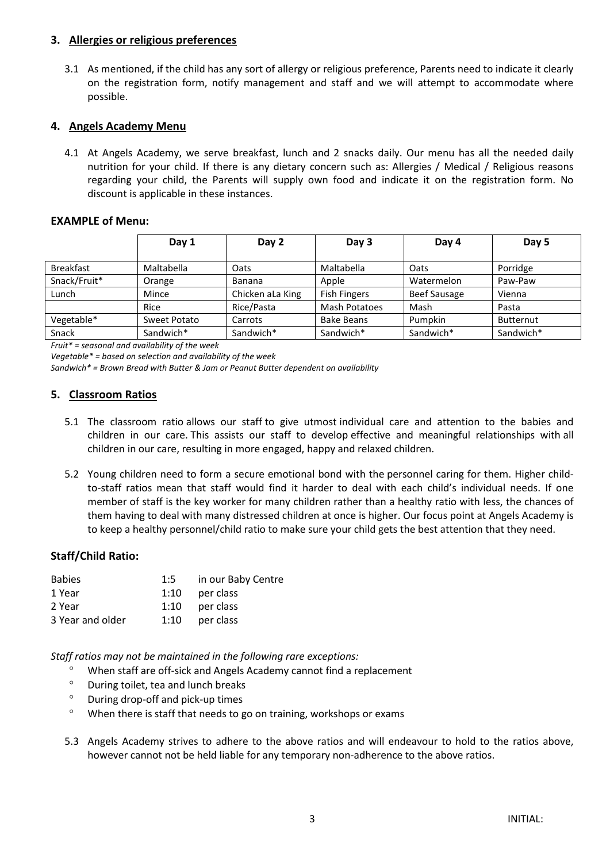#### **3. Allergies or religious preferences**

3.1 As mentioned, if the child has any sort of allergy or religious preference, Parents need to indicate it clearly on the registration form, notify management and staff and we will attempt to accommodate where possible.

#### **4. Angels Academy Menu**

4.1 At Angels Academy, we serve breakfast, lunch and 2 snacks daily. Our menu has all the needed daily nutrition for your child. If there is any dietary concern such as: Allergies / Medical / Religious reasons regarding your child, the Parents will supply own food and indicate it on the registration form. No discount is applicable in these instances.

#### **EXAMPLE of Menu:**

|                  | Day 1        | Day 2            | Day 3               | Day 4               | Day 5     |
|------------------|--------------|------------------|---------------------|---------------------|-----------|
| <b>Breakfast</b> | Maltabella   | Oats             | Maltabella          | Oats                | Porridge  |
| Snack/Fruit*     | Orange       | <b>Banana</b>    | Apple               | Watermelon          | Paw-Paw   |
| Lunch            | Mince        | Chicken aLa King | <b>Fish Fingers</b> | <b>Beef Sausage</b> | Vienna    |
|                  | Rice         | Rice/Pasta       | Mash Potatoes       | Mash                | Pasta     |
| Vegetable*       | Sweet Potato | Carrots          | <b>Bake Beans</b>   | Pumpkin             | Butternut |
| Snack            | Sandwich*    | Sandwich*        | Sandwich*           | Sandwich*           | Sandwich* |

*Fruit\* = seasonal and availability of the week* 

*Vegetable\* = based on selection and availability of the week* 

*Sandwich\* = Brown Bread with Butter & Jam or Peanut Butter dependent on availability*

#### **5. Classroom Ratios**

- 5.1 The classroom ratio allows our staff to give utmost individual care and attention to the babies and children in our care. This assists our staff to develop effective and meaningful relationships with all children in our care, resulting in more engaged, happy and relaxed children.
- 5.2 Young children need to form a secure emotional bond with the personnel caring for them. Higher childto-staff ratios mean that staff would find it harder to deal with each child's individual needs. If one member of staff is the key worker for many children rather than a healthy ratio with less, the chances of them having to deal with many distressed children at once is higher. Our focus point at Angels Academy is to keep a healthy personnel/child ratio to make sure your child gets the best attention that they need.

#### **Staff/Child Ratio:**

| <b>Babies</b> | 1:5 | in our Baby Centre |
|---------------|-----|--------------------|
| 1 Year        |     | 1:10 per class     |

| 2 Year           | 1:10 | per class |
|------------------|------|-----------|
| 3 Year and older | 1:10 | per class |

*Staff ratios may not be maintained in the following rare exceptions:*

- When staff are off-sick and Angels Academy cannot find a replacement
- During toilet, tea and lunch breaks
- During drop-off and pick-up times
- When there is staff that needs to go on training, workshops or exams
- 5.3 Angels Academy strives to adhere to the above ratios and will endeavour to hold to the ratios above, however cannot not be held liable for any temporary non-adherence to the above ratios.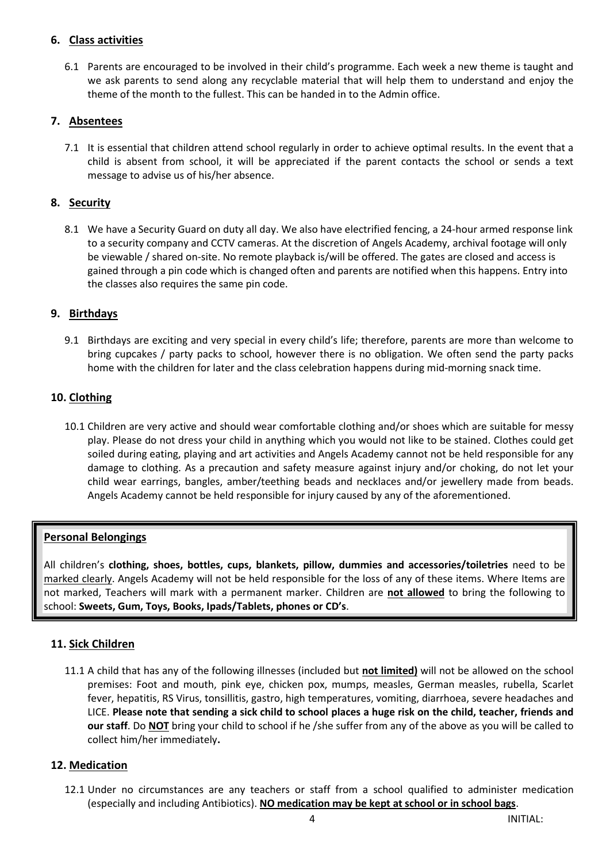## **6. Class activities**

6.1 Parents are encouraged to be involved in their child's programme. Each week a new theme is taught and we ask parents to send along any recyclable material that will help them to understand and enjoy the theme of the month to the fullest. This can be handed in to the Admin office.

## **7. Absentees**

7.1 It is essential that children attend school regularly in order to achieve optimal results. In the event that a child is absent from school, it will be appreciated if the parent contacts the school or sends a text message to advise us of his/her absence.

## **8. Security**

8.1 We have a Security Guard on duty all day. We also have electrified fencing, a 24-hour armed response link to a security company and CCTV cameras. At the discretion of Angels Academy, archival footage will only be viewable / shared on-site. No remote playback is/will be offered. The gates are closed and access is gained through a pin code which is changed often and parents are notified when this happens. Entry into the classes also requires the same pin code.

#### **9. Birthdays**

9.1 Birthdays are exciting and very special in every child's life; therefore, parents are more than welcome to bring cupcakes / party packs to school, however there is no obligation. We often send the party packs home with the children for later and the class celebration happens during mid-morning snack time.

## **10. Clothing**

10.1 Children are very active and should wear comfortable clothing and/or shoes which are suitable for messy play. Please do not dress your child in anything which you would not like to be stained. Clothes could get soiled during eating, playing and art activities and Angels Academy cannot not be held responsible for any damage to clothing. As a precaution and safety measure against injury and/or choking, do not let your child wear earrings, bangles, amber/teething beads and necklaces and/or jewellery made from beads. Angels Academy cannot be held responsible for injury caused by any of the aforementioned.

#### **Personal Belongings**

All children's **clothing, shoes, bottles, cups, blankets, pillow, dummies and accessories/toiletries** need to be marked clearly. Angels Academy will not be held responsible for the loss of any of these items. Where Items are not marked, Teachers will mark with a permanent marker. Children are **not allowed** to bring the following to school: **Sweets, Gum, Toys, Books, Ipads/Tablets, phones or CD's**.

#### **11. Sick Children**

ı

11.1 A child that has any of the following illnesses (included but not limited) will not be allowed on the school premises: Foot and mouth, pink eye, chicken pox, mumps, measles, German measles, rubella, Scarlet fever, hepatitis, RS Virus, tonsillitis, gastro, high temperatures, vomiting, diarrhoea, severe headaches and LICE. **Please note that sending a sick child to school places a huge risk on the child, teacher, friends and our staff**. Do **NOT** bring your child to school if he /she suffer from any of the above as you will be called to collect him/her immediately**.** 

#### **12. Medication**

12.1 Under no circumstances are any teachers or staff from a school qualified to administer medication (especially and including Antibiotics). **NO medication may be kept at school or in school bags**.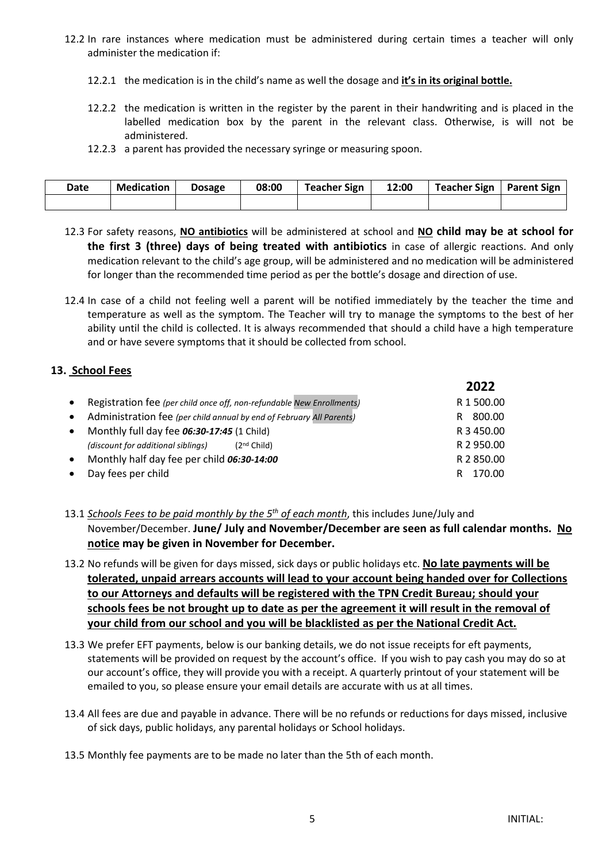- 12.2 In rare instances where medication must be administered during certain times a teacher will only administer the medication if:
	- 12.2.1 the medication is in the child's name as well the dosage and **it's in its original bottle.**
	- 12.2.2 the medication is written in the register by the parent in their handwriting and is placed in the labelled medication box by the parent in the relevant class. Otherwise, is will not be administered.
	- 12.2.3 a parent has provided the necessary syringe or measuring spoon.

| Date | <b>Medication</b> | <b>Dosage</b> | 08:00 | <b>Teacher Sign</b> | 12:00 | Teacher Sign   Parent Sign |  |
|------|-------------------|---------------|-------|---------------------|-------|----------------------------|--|
|      |                   |               |       |                     |       |                            |  |

- 12.3 For safety reasons, **NO antibiotics** will be administered at school and **NO child may be at school for the first 3 (three) days of being treated with antibiotics** in case of allergic reactions. And only medication relevant to the child's age group, will be administered and no medication will be administered for longer than the recommended time period as per the bottle's dosage and direction of use.
- 12.4 In case of a child not feeling well a parent will be notified immediately by the teacher the time and temperature as well as the symptom. The Teacher will try to manage the symptoms to the best of her ability until the child is collected. It is always recommended that should a child have a high temperature and or have severe symptoms that it should be collected from school.

## **13. School Fees**

|           |                                                                         | 2022        |
|-----------|-------------------------------------------------------------------------|-------------|
|           | • Registration fee (per child once off, non-refundable New Enrollments) | R 1 500.00  |
| $\bullet$ | Administration fee (per child annual by end of February All Parents)    | 800.00<br>R |
| $\bullet$ | Monthly full day fee 06:30-17:45 (1 Child)                              | R 3 450.00  |
|           | (discount for additional siblings) $(2nd Child)$                        | R 2 950.00  |
| $\bullet$ | Monthly half day fee per child 06:30-14:00                              | R 2 850.00  |
| $\bullet$ | Day fees per child                                                      | 170.00<br>R |
|           |                                                                         |             |

<sup>13.1</sup> *Schools Fees to be paid monthly by the 5th of each month*, this includes June/July and November/December. **June/ July and November/December are seen as full calendar months. No notice may be given in November for December.**

- 13.2 No refunds will be given for days missed, sick days or public holidays etc. **No late payments will be tolerated, unpaid arrears accounts will lead to your account being handed over for Collections to our Attorneys and defaults will be registered with the TPN Credit Bureau; should your schools fees be not brought up to date as per the agreement it will result in the removal of your child from our school and you will be blacklisted as per the National Credit Act.**
- 13.3 We prefer EFT payments, below is our banking details, we do not issue receipts for eft payments, statements will be provided on request by the account's office. If you wish to pay cash you may do so at our account's office, they will provide you with a receipt. A quarterly printout of your statement will be emailed to you, so please ensure your email details are accurate with us at all times.
- 13.4 All fees are due and payable in advance. There will be no refunds or reductions for days missed, inclusive of sick days, public holidays, any parental holidays or School holidays.
- 13.5 Monthly fee payments are to be made no later than the 5th of each month.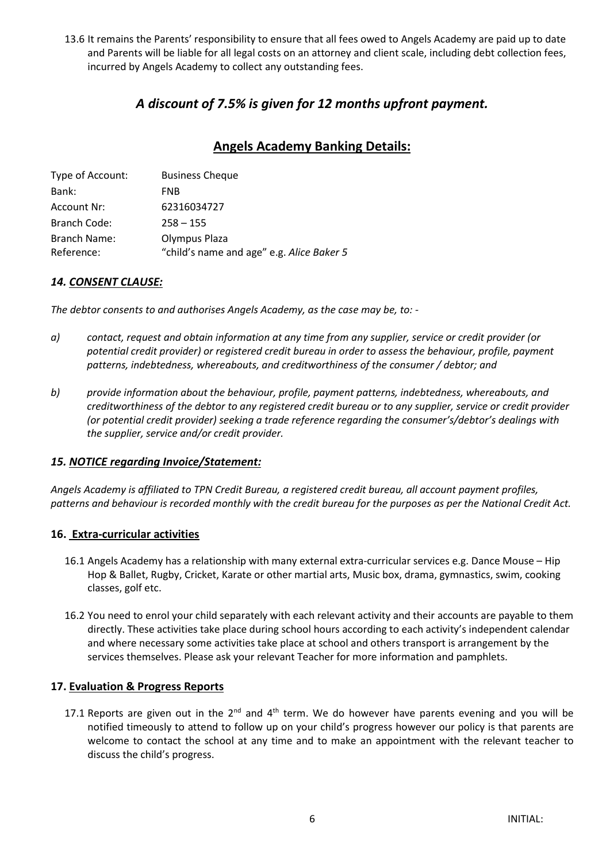13.6 It remains the Parents' responsibility to ensure that all fees owed to Angels Academy are paid up to date and Parents will be liable for all legal costs on an attorney and client scale, including debt collection fees, incurred by Angels Academy to collect any outstanding fees.

## *A discount of 7.5% is given for 12 months upfront payment.*

# **Angels Academy Banking Details:**

| Type of Account:    | <b>Business Cheque</b>                    |
|---------------------|-------------------------------------------|
| Bank:               | <b>FNB</b>                                |
| Account Nr:         | 62316034727                               |
| Branch Code:        | $258 - 155$                               |
| <b>Branch Name:</b> | Olympus Plaza                             |
| Reference:          | "child's name and age" e.g. Alice Baker 5 |

## *14. CONSENT CLAUSE:*

*The debtor consents to and authorises Angels Academy, as the case may be, to: -*

- *a) contact, request and obtain information at any time from any supplier, service or credit provider (or potential credit provider) or registered credit bureau in order to assess the behaviour, profile, payment patterns, indebtedness, whereabouts, and creditworthiness of the consumer / debtor; and*
- *b) provide information about the behaviour, profile, payment patterns, indebtedness, whereabouts, and creditworthiness of the debtor to any registered credit bureau or to any supplier, service or credit provider (or potential credit provider) seeking a trade reference regarding the consumer's/debtor's dealings with the supplier, service and/or credit provider.*

#### *15. NOTICE regarding Invoice/Statement:*

*Angels Academy is affiliated to TPN Credit Bureau, a registered credit bureau, all account payment profiles, patterns and behaviour is recorded monthly with the credit bureau for the purposes as per the National Credit Act.*

#### **16. Extra-curricular activities**

- 16.1 Angels Academy has a relationship with many external extra-curricular services e.g. Dance Mouse Hip Hop & Ballet, Rugby, Cricket, Karate or other martial arts, Music box, drama, gymnastics, swim, cooking classes, golf etc.
- 16.2 You need to enrol your child separately with each relevant activity and their accounts are payable to them directly. These activities take place during school hours according to each activity's independent calendar and where necessary some activities take place at school and others transport is arrangement by the services themselves. Please ask your relevant Teacher for more information and pamphlets.

#### **17. Evaluation & Progress Reports**

17.1 Reports are given out in the  $2^{nd}$  and  $4^{th}$  term. We do however have parents evening and you will be notified timeously to attend to follow up on your child's progress however our policy is that parents are welcome to contact the school at any time and to make an appointment with the relevant teacher to discuss the child's progress.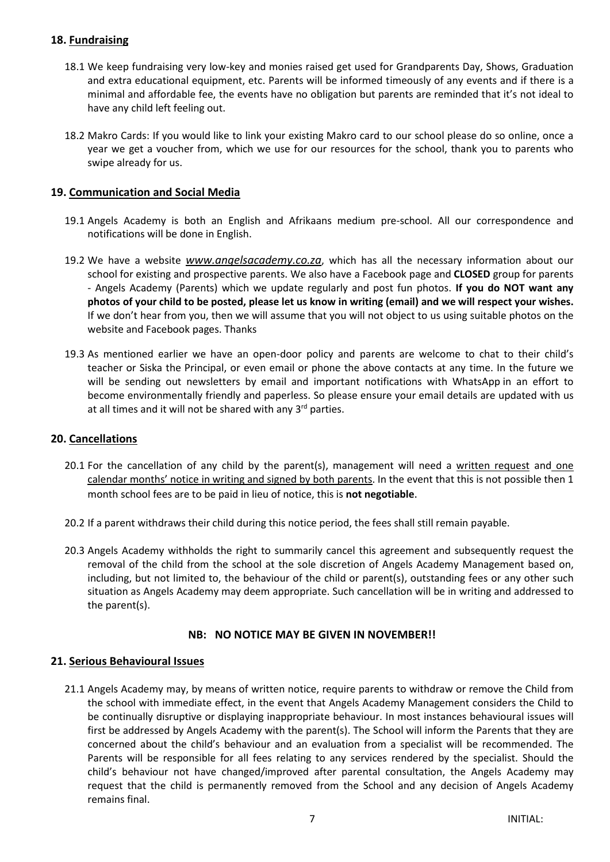## **18. Fundraising**

- 18.1 We keep fundraising very low-key and monies raised get used for Grandparents Day, Shows, Graduation and extra educational equipment, etc. Parents will be informed timeously of any events and if there is a minimal and affordable fee, the events have no obligation but parents are reminded that it's not ideal to have any child left feeling out.
- 18.2 Makro Cards: If you would like to link your existing Makro card to our school please do so online, once a year we get a voucher from, which we use for our resources for the school, thank you to parents who swipe already for us.

#### **19. Communication and Social Media**

- 19.1 Angels Academy is both an English and Afrikaans medium pre-school. All our correspondence and notifications will be done in English.
- 19.2 We have a website *www.angelsacademy.co.za*, which has all the necessary information about our school for existing and prospective parents. We also have a Facebook page and **CLOSED** group for parents - Angels Academy (Parents) which we update regularly and post fun photos. **If you do NOT want any photos of your child to be posted, please let us know in writing (email) and we will respect your wishes.**  If we don't hear from you, then we will assume that you will not object to us using suitable photos on the website and Facebook pages. Thanks
- 19.3 As mentioned earlier we have an open-door policy and parents are welcome to chat to their child's teacher or Siska the Principal, or even email or phone the above contacts at any time. In the future we will be sending out newsletters by email and important notifications with WhatsApp in an effort to become environmentally friendly and paperless. So please ensure your email details are updated with us at all times and it will not be shared with any 3<sup>rd</sup> parties.

#### **20. Cancellations**

- 20.1 For the cancellation of any child by the parent(s), management will need a written request and one calendar months' notice in writing and signed by both parents. In the event that this is not possible then 1 month school fees are to be paid in lieu of notice, this is **not negotiable**.
- 20.2 If a parent withdraws their child during this notice period, the fees shall still remain payable.
- 20.3 Angels Academy withholds the right to summarily cancel this agreement and subsequently request the removal of the child from the school at the sole discretion of Angels Academy Management based on, including, but not limited to, the behaviour of the child or parent(s), outstanding fees or any other such situation as Angels Academy may deem appropriate. Such cancellation will be in writing and addressed to the parent(s).

#### **NB: NO NOTICE MAY BE GIVEN IN NOVEMBER!!**

#### **21. Serious Behavioural Issues**

21.1 Angels Academy may, by means of written notice, require parents to withdraw or remove the Child from the school with immediate effect, in the event that Angels Academy Management considers the Child to be continually disruptive or displaying inappropriate behaviour. In most instances behavioural issues will first be addressed by Angels Academy with the parent(s). The School will inform the Parents that they are concerned about the child's behaviour and an evaluation from a specialist will be recommended. The Parents will be responsible for all fees relating to any services rendered by the specialist. Should the child's behaviour not have changed/improved after parental consultation, the Angels Academy may request that the child is permanently removed from the School and any decision of Angels Academy remains final.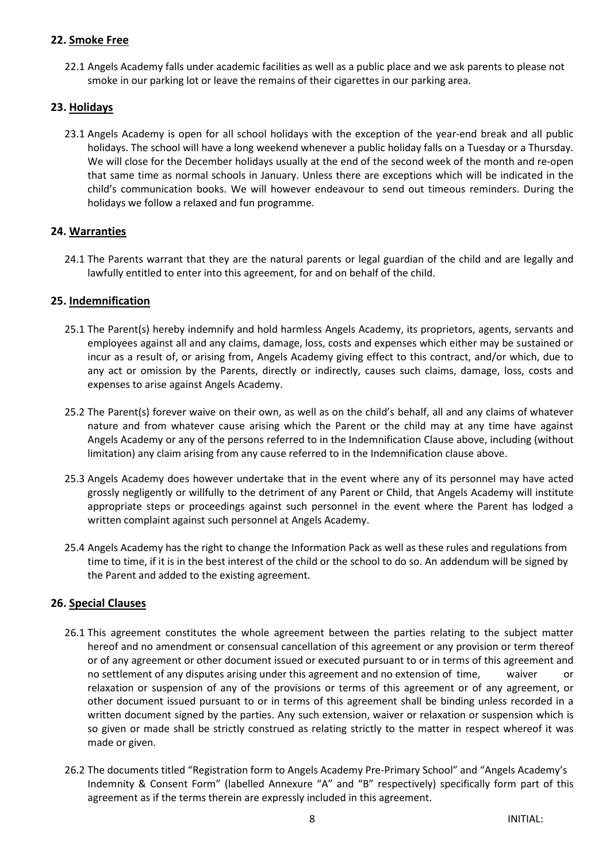## **22. Smoke Free**

22.1 Angels Academy falls under academic facilities as well as a public place and we ask parents to please not smoke in our parking lot or leave the remains of their cigarettes in our parking area.

#### **23. Holidays**

23.1 Angels Academy is open for all school holidays with the exception of the year-end break and all public holidays. The school will have a long weekend whenever a public holiday falls on a Tuesday or a Thursday. We will close for the December holidays usually at the end of the second week of the month and re-open that same time as normal schools in January. Unless there are exceptions which will be indicated in the child's communication books. We will however endeavour to send out timeous reminders. During the holidays we follow a relaxed and fun programme.

## **24. Warranties**

24.1 The Parents warrant that they are the natural parents or legal guardian of the child and are legally and lawfully entitled to enter into this agreement, for and on behalf of the child.

#### **25. Indemnification**

- 25.1 The Parent(s) hereby indemnify and hold harmless Angels Academy, its proprietors, agents, servants and employees against all and any claims, damage, loss, costs and expenses which either may be sustained or incur as a result of, or arising from, Angels Academy giving effect to this contract, and/or which, due to any act or omission by the Parents, directly or indirectly, causes such claims, damage, loss, costs and expenses to arise against Angels Academy.
- 25.2 The Parent(s) forever waive on their own, as well as on the child's behalf, all and any claims of whatever nature and from whatever cause arising which the Parent or the child may at any time have against Angels Academy or any of the persons referred to in the Indemnification Clause above, including (without limitation) any claim arising from any cause referred to in the Indemnification clause above.
- 25.3 Angels Academy does however undertake that in the event where any of its personnel may have acted grossly negligently or willfully to the detriment of any Parent or Child, that Angels Academy will institute appropriate steps or proceedings against such personnel in the event where the Parent has lodged a written complaint against such personnel at Angels Academy.
- 25.4 Angels Academy has the right to change the Information Pack as well as these rules and regulations from time to time, if it is in the best interest of the child or the school to do so. An addendum will be signed by the Parent and added to the existing agreement.

#### **26. Special Clauses**

- 26.1 This agreement constitutes the whole agreement between the parties relating to the subject matter hereof and no amendment or consensual cancellation of this agreement or any provision or term thereof or of any agreement or other document issued or executed pursuant to or in terms of this agreement and no settlement of any disputes arising under this agreement and no extension of time, waiver or relaxation or suspension of any of the provisions or terms of this agreement or of any agreement, or other document issued pursuant to or in terms of this agreement shall be binding unless recorded in a written document signed by the parties. Any such extension, waiver or relaxation or suspension which is so given or made shall be strictly construed as relating strictly to the matter in respect whereof it was made or given.
- 26.2 The documents titled "Registration form to Angels Academy Pre-Primary School" and "Angels Academy's Indemnity & Consent Form" (labelled Annexure "A" and "B" respectively) specifically form part of this agreement as if the terms therein are expressly included in this agreement.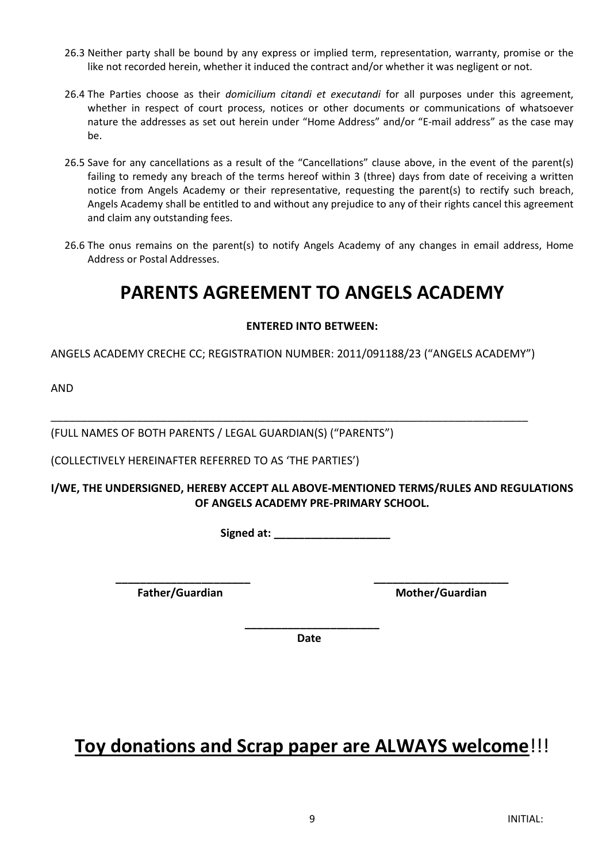- 26.3 Neither party shall be bound by any express or implied term, representation, warranty, promise or the like not recorded herein, whether it induced the contract and/or whether it was negligent or not.
- 26.4 The Parties choose as their *domicilium citandi et executandi* for all purposes under this agreement, whether in respect of court process, notices or other documents or communications of whatsoever nature the addresses as set out herein under "Home Address" and/or "E-mail address" as the case may be.
- 26.5 Save for any cancellations as a result of the "Cancellations" clause above, in the event of the parent(s) failing to remedy any breach of the terms hereof within 3 (three) days from date of receiving a written notice from Angels Academy or their representative, requesting the parent(s) to rectify such breach, Angels Academy shall be entitled to and without any prejudice to any of their rights cancel this agreement and claim any outstanding fees.
- 26.6 The onus remains on the parent(s) to notify Angels Academy of any changes in email address, Home Address or Postal Addresses.

# **PARENTS AGREEMENT TO ANGELS ACADEMY**

## **ENTERED INTO BETWEEN:**

ANGELS ACADEMY CRECHE CC; REGISTRATION NUMBER: 2011/091188/23 ("ANGELS ACADEMY")

\_\_\_\_\_\_\_\_\_\_\_\_\_\_\_\_\_\_\_\_\_\_\_\_\_\_\_\_\_\_\_\_\_\_\_\_\_\_\_\_\_\_\_\_\_\_\_\_\_\_\_\_\_\_\_\_\_\_\_\_\_\_\_\_\_\_\_\_\_\_\_\_\_\_\_\_\_\_

AND

(FULL NAMES OF BOTH PARENTS / LEGAL GUARDIAN(S) ("PARENTS")

(COLLECTIVELY HEREINAFTER REFERRED TO AS 'THE PARTIES')

## **I/WE, THE UNDERSIGNED, HEREBY ACCEPT ALL ABOVE-MENTIONED TERMS/RULES AND REGULATIONS OF ANGELS ACADEMY PRE-PRIMARY SCHOOL.**

**Signed at: \_\_\_\_\_\_\_\_\_\_\_\_\_\_\_\_\_\_\_**

Father/Guardian Mother/Guardian

**\_\_\_\_\_\_\_\_\_\_\_\_\_\_\_\_\_\_\_\_\_\_** *Date* 

**\_\_\_\_\_\_\_\_\_\_\_\_\_\_\_\_\_\_\_\_\_\_ \_\_\_\_\_\_\_\_\_\_\_\_\_\_\_\_\_\_\_\_\_\_**

# **Toy donations and Scrap paper are ALWAYS welcome**!!!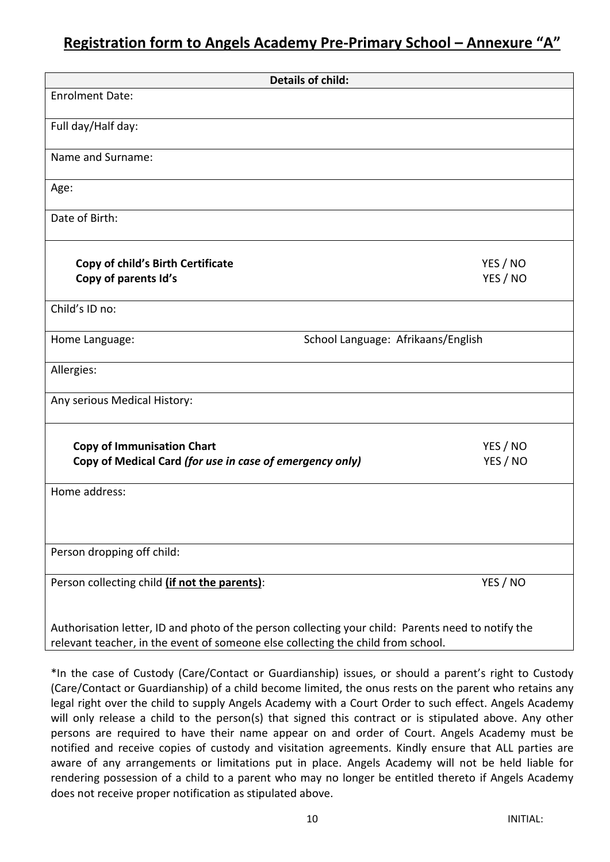# **Registration form to Angels Academy Pre-Primary School – Annexure "A"**

| <b>Details of child:</b>                                                                           |                                    |
|----------------------------------------------------------------------------------------------------|------------------------------------|
| <b>Enrolment Date:</b>                                                                             |                                    |
| Full day/Half day:                                                                                 |                                    |
|                                                                                                    |                                    |
| Name and Surname:                                                                                  |                                    |
| Age:                                                                                               |                                    |
| Date of Birth:                                                                                     |                                    |
| <b>Copy of child's Birth Certificate</b>                                                           | YES / NO                           |
| Copy of parents Id's                                                                               | YES / NO                           |
| Child's ID no:                                                                                     |                                    |
| Home Language:                                                                                     | School Language: Afrikaans/English |
| Allergies:                                                                                         |                                    |
| Any serious Medical History:                                                                       |                                    |
| <b>Copy of Immunisation Chart</b>                                                                  | YES / NO                           |
| Copy of Medical Card (for use in case of emergency only)                                           | YES / NO                           |
| Home address:                                                                                      |                                    |
|                                                                                                    |                                    |
| Person dropping off child:                                                                         |                                    |
| Person collecting child (if not the parents):                                                      | YES / NO                           |
| Authorisation letter, ID and photo of the person collecting your child: Parents need to notify the |                                    |

relevant teacher, in the event of someone else collecting the child from school.

\*In the case of Custody (Care/Contact or Guardianship) issues, or should a parent's right to Custody (Care/Contact or Guardianship) of a child become limited, the onus rests on the parent who retains any legal right over the child to supply Angels Academy with a Court Order to such effect. Angels Academy will only release a child to the person(s) that signed this contract or is stipulated above. Any other persons are required to have their name appear on and order of Court. Angels Academy must be notified and receive copies of custody and visitation agreements. Kindly ensure that ALL parties are aware of any arrangements or limitations put in place. Angels Academy will not be held liable for rendering possession of a child to a parent who may no longer be entitled thereto if Angels Academy does not receive proper notification as stipulated above.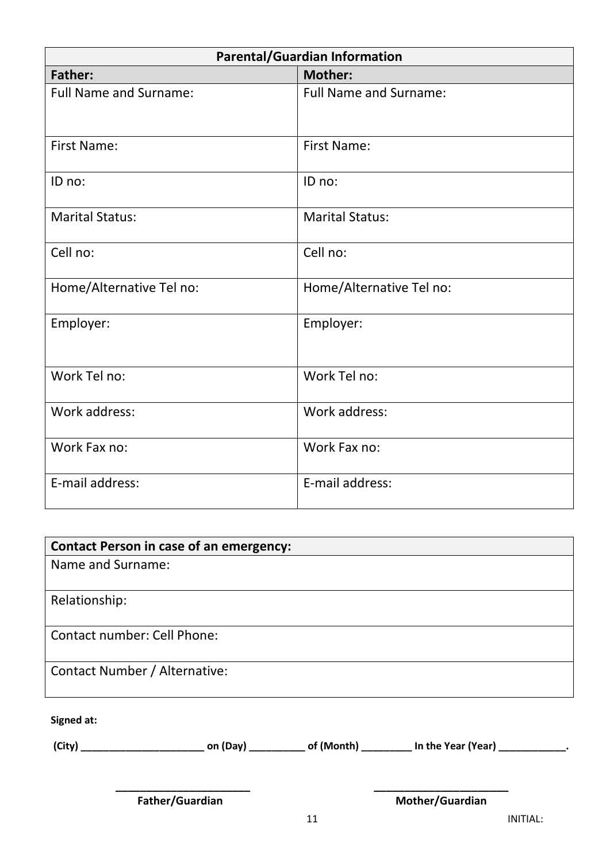| <b>Parental/Guardian Information</b> |                               |  |  |
|--------------------------------------|-------------------------------|--|--|
| <b>Father:</b>                       | <b>Mother:</b>                |  |  |
| <b>Full Name and Surname:</b>        | <b>Full Name and Surname:</b> |  |  |
| <b>First Name:</b>                   | <b>First Name:</b>            |  |  |
| ID no:                               | ID no:                        |  |  |
| <b>Marital Status:</b>               | <b>Marital Status:</b>        |  |  |
| Cell no:                             | Cell no:                      |  |  |
| Home/Alternative Tel no:             | Home/Alternative Tel no:      |  |  |
| Employer:                            | Employer:                     |  |  |
| Work Tel no:                         | Work Tel no:                  |  |  |
| Work address:                        | Work address:                 |  |  |
| Work Fax no:                         | Work Fax no:                  |  |  |
| E-mail address:                      | E-mail address:               |  |  |

| <b>Contact Person in case of an emergency:</b> |
|------------------------------------------------|
| Name and Surname:                              |
|                                                |
| Relationship:                                  |
|                                                |
| <b>Contact number: Cell Phone:</b>             |
|                                                |
| <b>Contact Number / Alternative:</b>           |
|                                                |

**Signed at:**

| (City) | on (Day) | of (Month) | In the Year (Year) |  |
|--------|----------|------------|--------------------|--|
|--------|----------|------------|--------------------|--|

**Father/Guardian Mother/Guardian** 

**\_\_\_\_\_\_\_\_\_\_\_\_\_\_\_\_\_\_\_\_\_\_ \_\_\_\_\_\_\_\_\_\_\_\_\_\_\_\_\_\_\_\_\_\_**